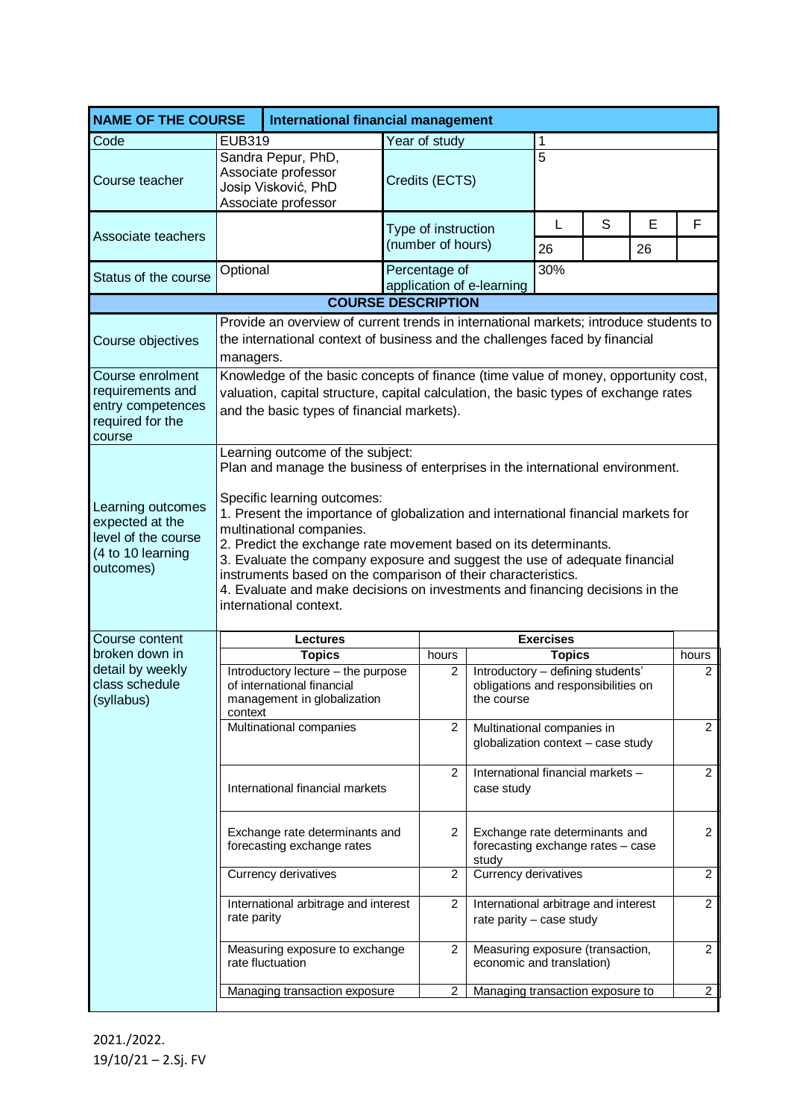| <b>NAME OF THE COURSE</b>                                                                     | International financial management                                                                                                                                                                                                                                                                                                                                                                                                                                                                                                                          |                                                                                                               |                                            |                                                                                        |                                                                     |   |         |                |  |
|-----------------------------------------------------------------------------------------------|-------------------------------------------------------------------------------------------------------------------------------------------------------------------------------------------------------------------------------------------------------------------------------------------------------------------------------------------------------------------------------------------------------------------------------------------------------------------------------------------------------------------------------------------------------------|---------------------------------------------------------------------------------------------------------------|--------------------------------------------|----------------------------------------------------------------------------------------|---------------------------------------------------------------------|---|---------|----------------|--|
| Code                                                                                          | <b>EUB319</b>                                                                                                                                                                                                                                                                                                                                                                                                                                                                                                                                               |                                                                                                               | Year of study                              |                                                                                        | 1                                                                   |   |         |                |  |
| Course teacher                                                                                | Sandra Pepur, PhD,<br>Associate professor<br>Josip Visković, PhD<br>Associate professor                                                                                                                                                                                                                                                                                                                                                                                                                                                                     |                                                                                                               | Credits (ECTS)                             |                                                                                        | $\overline{5}$                                                      |   |         |                |  |
| Associate teachers                                                                            |                                                                                                                                                                                                                                                                                                                                                                                                                                                                                                                                                             |                                                                                                               | Type of instruction<br>(number of hours)   |                                                                                        | L<br>26                                                             | S | E<br>26 | F              |  |
| Status of the course                                                                          | Optional                                                                                                                                                                                                                                                                                                                                                                                                                                                                                                                                                    |                                                                                                               | Percentage of<br>application of e-learning | 30%                                                                                    |                                                                     |   |         |                |  |
|                                                                                               |                                                                                                                                                                                                                                                                                                                                                                                                                                                                                                                                                             |                                                                                                               | <b>COURSE DESCRIPTION</b>                  |                                                                                        |                                                                     |   |         |                |  |
| Course objectives                                                                             | Provide an overview of current trends in international markets; introduce students to<br>the international context of business and the challenges faced by financial<br>managers.                                                                                                                                                                                                                                                                                                                                                                           |                                                                                                               |                                            |                                                                                        |                                                                     |   |         |                |  |
| Course enrolment<br>requirements and<br>entry competences<br>required for the<br>course       | Knowledge of the basic concepts of finance (time value of money, opportunity cost,<br>valuation, capital structure, capital calculation, the basic types of exchange rates<br>and the basic types of financial markets).                                                                                                                                                                                                                                                                                                                                    |                                                                                                               |                                            |                                                                                        |                                                                     |   |         |                |  |
| Learning outcomes<br>expected at the<br>level of the course<br>(4 to 10 learning<br>outcomes) | Plan and manage the business of enterprises in the international environment.<br>Specific learning outcomes:<br>1. Present the importance of globalization and international financial markets for<br>multinational companies.<br>2. Predict the exchange rate movement based on its determinants.<br>3. Evaluate the company exposure and suggest the use of adequate financial<br>instruments based on the comparison of their characteristics.<br>4. Evaluate and make decisions on investments and financing decisions in the<br>international context. |                                                                                                               |                                            |                                                                                        |                                                                     |   |         |                |  |
| Course content                                                                                |                                                                                                                                                                                                                                                                                                                                                                                                                                                                                                                                                             | <b>Lectures</b>                                                                                               |                                            |                                                                                        | <b>Exercises</b>                                                    |   |         |                |  |
| broken down in<br>detail by weekly<br>class schedule<br>(syllabus)                            |                                                                                                                                                                                                                                                                                                                                                                                                                                                                                                                                                             | <b>Topics</b>                                                                                                 | hours                                      |                                                                                        | <b>Topics</b>                                                       |   |         | hours          |  |
|                                                                                               | context                                                                                                                                                                                                                                                                                                                                                                                                                                                                                                                                                     | Introductory lecture - the purpose<br>of international financial<br>management in globalization               | 2                                          | Introductory - defining students'<br>obligations and responsibilities on<br>the course |                                                                     |   |         | $\overline{2}$ |  |
|                                                                                               |                                                                                                                                                                                                                                                                                                                                                                                                                                                                                                                                                             | Multinational companies<br>$\overline{2}$<br>Multinational companies in<br>globalization context - case study |                                            |                                                                                        |                                                                     |   |         | $\overline{2}$ |  |
|                                                                                               | $\overline{2}$<br>International financial markets<br>case study                                                                                                                                                                                                                                                                                                                                                                                                                                                                                             |                                                                                                               |                                            |                                                                                        | International financial markets -<br>$\overline{2}$                 |   |         |                |  |
|                                                                                               | Exchange rate determinants and<br>forecasting exchange rates                                                                                                                                                                                                                                                                                                                                                                                                                                                                                                |                                                                                                               | 2                                          | study                                                                                  | Exchange rate determinants and<br>forecasting exchange rates - case |   |         | $\overline{c}$ |  |
|                                                                                               | Currency derivatives                                                                                                                                                                                                                                                                                                                                                                                                                                                                                                                                        |                                                                                                               | $\overline{c}$                             | Currency derivatives                                                                   |                                                                     |   |         | $\overline{2}$ |  |
|                                                                                               | International arbitrage and interest<br>rate parity                                                                                                                                                                                                                                                                                                                                                                                                                                                                                                         |                                                                                                               | 2                                          |                                                                                        | International arbitrage and interest<br>rate parity - case study    |   |         | $\overline{2}$ |  |
|                                                                                               | Measuring exposure to exchange<br>rate fluctuation                                                                                                                                                                                                                                                                                                                                                                                                                                                                                                          |                                                                                                               | 2                                          |                                                                                        | Measuring exposure (transaction,<br>economic and translation)       |   |         | 2              |  |
|                                                                                               | $\overline{2}$<br>2<br><b>Managing transaction exposure</b><br>Managing transaction exposure to                                                                                                                                                                                                                                                                                                                                                                                                                                                             |                                                                                                               |                                            |                                                                                        |                                                                     |   |         |                |  |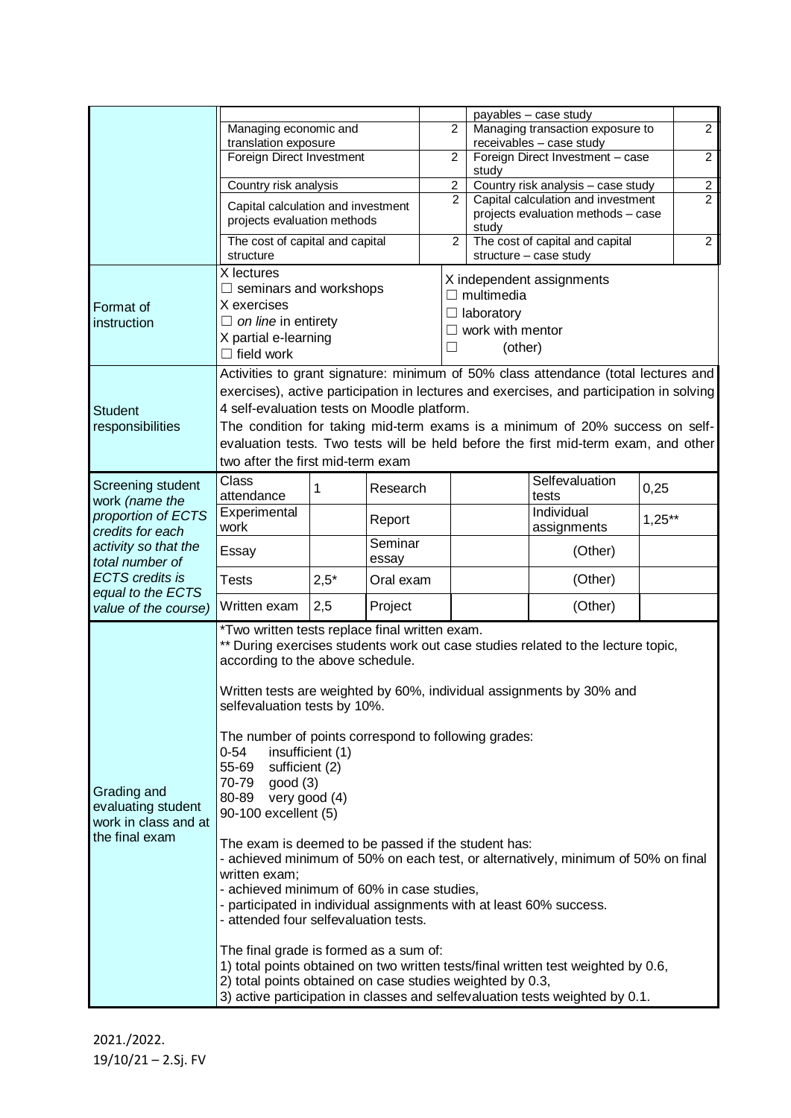|                                                                                                                          | Managing economic and<br>translation exposure                                                                                                                                                                                                                                                                                                                                                                                                                                                                                                                                                                                                                                                                                                                                                                                                                                                                                                                                                                                                                                  |        |                  |                                          | $\overline{2}$                                                                                               | payables - case study<br>Managing transaction exposure to<br>receivables - case study |                           |                | $\overline{2}$ |  |
|--------------------------------------------------------------------------------------------------------------------------|--------------------------------------------------------------------------------------------------------------------------------------------------------------------------------------------------------------------------------------------------------------------------------------------------------------------------------------------------------------------------------------------------------------------------------------------------------------------------------------------------------------------------------------------------------------------------------------------------------------------------------------------------------------------------------------------------------------------------------------------------------------------------------------------------------------------------------------------------------------------------------------------------------------------------------------------------------------------------------------------------------------------------------------------------------------------------------|--------|------------------|------------------------------------------|--------------------------------------------------------------------------------------------------------------|---------------------------------------------------------------------------------------|---------------------------|----------------|----------------|--|
|                                                                                                                          | Foreign Direct Investment                                                                                                                                                                                                                                                                                                                                                                                                                                                                                                                                                                                                                                                                                                                                                                                                                                                                                                                                                                                                                                                      |        |                  |                                          | $\overline{2}$                                                                                               | Foreign Direct Investment - case<br>study                                             |                           |                | $\overline{2}$ |  |
|                                                                                                                          | Country risk analysis                                                                                                                                                                                                                                                                                                                                                                                                                                                                                                                                                                                                                                                                                                                                                                                                                                                                                                                                                                                                                                                          |        |                  |                                          | $\overline{c}$                                                                                               | Country risk analysis - case study                                                    |                           |                | $\overline{2}$ |  |
|                                                                                                                          | Capital calculation and investment<br>projects evaluation methods<br>The cost of capital and capital                                                                                                                                                                                                                                                                                                                                                                                                                                                                                                                                                                                                                                                                                                                                                                                                                                                                                                                                                                           |        |                  |                                          | $\mathcal{P}$                                                                                                | Capital calculation and investment<br>projects evaluation methods - case              |                           |                | $\overline{2}$ |  |
|                                                                                                                          |                                                                                                                                                                                                                                                                                                                                                                                                                                                                                                                                                                                                                                                                                                                                                                                                                                                                                                                                                                                                                                                                                |        |                  | study<br>The cost of capital and capital |                                                                                                              |                                                                                       |                           |                |                |  |
|                                                                                                                          | structure                                                                                                                                                                                                                                                                                                                                                                                                                                                                                                                                                                                                                                                                                                                                                                                                                                                                                                                                                                                                                                                                      |        |                  |                                          | $\overline{2}$                                                                                               |                                                                                       | structure - case study    | $\overline{2}$ |                |  |
| Format of<br>instruction                                                                                                 | X lectures<br>$\Box$ seminars and workshops<br>X exercises<br>$\Box$ on line in entirety<br>X partial e-learning<br>$\Box$ field work                                                                                                                                                                                                                                                                                                                                                                                                                                                                                                                                                                                                                                                                                                                                                                                                                                                                                                                                          |        |                  |                                          | X independent assignments<br>$\Box$ multimedia<br>$\Box$ laboratory<br>work with mentor<br>(other)<br>$\Box$ |                                                                                       |                           |                |                |  |
| <b>Student</b><br>responsibilities                                                                                       | Activities to grant signature: minimum of 50% class attendance (total lectures and<br>exercises), active participation in lectures and exercises, and participation in solving<br>4 self-evaluation tests on Moodle platform.<br>The condition for taking mid-term exams is a minimum of 20% success on self-<br>evaluation tests. Two tests will be held before the first mid-term exam, and other<br>two after the first mid-term exam                                                                                                                                                                                                                                                                                                                                                                                                                                                                                                                                                                                                                                       |        |                  |                                          |                                                                                                              |                                                                                       |                           |                |                |  |
| Screening student<br>work (name the<br>proportion of ECTS<br>credits for each<br>activity so that the<br>total number of | Class<br>attendance                                                                                                                                                                                                                                                                                                                                                                                                                                                                                                                                                                                                                                                                                                                                                                                                                                                                                                                                                                                                                                                            | 1      | Research         |                                          |                                                                                                              |                                                                                       | Selfevaluation<br>tests   | 0,25           |                |  |
|                                                                                                                          | Experimental<br>work                                                                                                                                                                                                                                                                                                                                                                                                                                                                                                                                                                                                                                                                                                                                                                                                                                                                                                                                                                                                                                                           |        | Report           |                                          |                                                                                                              |                                                                                       | Individual<br>assignments | $1,25**$       |                |  |
|                                                                                                                          | Essay                                                                                                                                                                                                                                                                                                                                                                                                                                                                                                                                                                                                                                                                                                                                                                                                                                                                                                                                                                                                                                                                          |        | Seminar<br>essay |                                          |                                                                                                              |                                                                                       | (Other)                   |                |                |  |
| <b>ECTS</b> credits is<br>equal to the ECTS                                                                              | <b>Tests</b>                                                                                                                                                                                                                                                                                                                                                                                                                                                                                                                                                                                                                                                                                                                                                                                                                                                                                                                                                                                                                                                                   | $2,5*$ | Oral exam        |                                          |                                                                                                              |                                                                                       | (Other)                   |                |                |  |
| value of the course)                                                                                                     | Written exam                                                                                                                                                                                                                                                                                                                                                                                                                                                                                                                                                                                                                                                                                                                                                                                                                                                                                                                                                                                                                                                                   | 2,5    | Project          |                                          |                                                                                                              |                                                                                       | (Other)                   |                |                |  |
| Grading and<br>evaluating student<br>work in class and at<br>the final exam                                              | *Two written tests replace final written exam.<br>** During exercises students work out case studies related to the lecture topic,<br>according to the above schedule.<br>Written tests are weighted by 60%, individual assignments by 30% and<br>selfevaluation tests by 10%.<br>The number of points correspond to following grades:<br>$0 - 54$<br>insufficient (1)<br>55-69<br>sufficient (2)<br>70-79<br>good(3)<br>80-89<br>very good (4)<br>90-100 excellent (5)<br>The exam is deemed to be passed if the student has:<br>- achieved minimum of 50% on each test, or alternatively, minimum of 50% on final<br>written exam;<br>- achieved minimum of 60% in case studies,<br>- participated in individual assignments with at least 60% success.<br>- attended four selfevaluation tests.<br>The final grade is formed as a sum of:<br>1) total points obtained on two written tests/final written test weighted by 0.6,<br>2) total points obtained on case studies weighted by 0.3,<br>3) active participation in classes and selfevaluation tests weighted by 0.1. |        |                  |                                          |                                                                                                              |                                                                                       |                           |                |                |  |